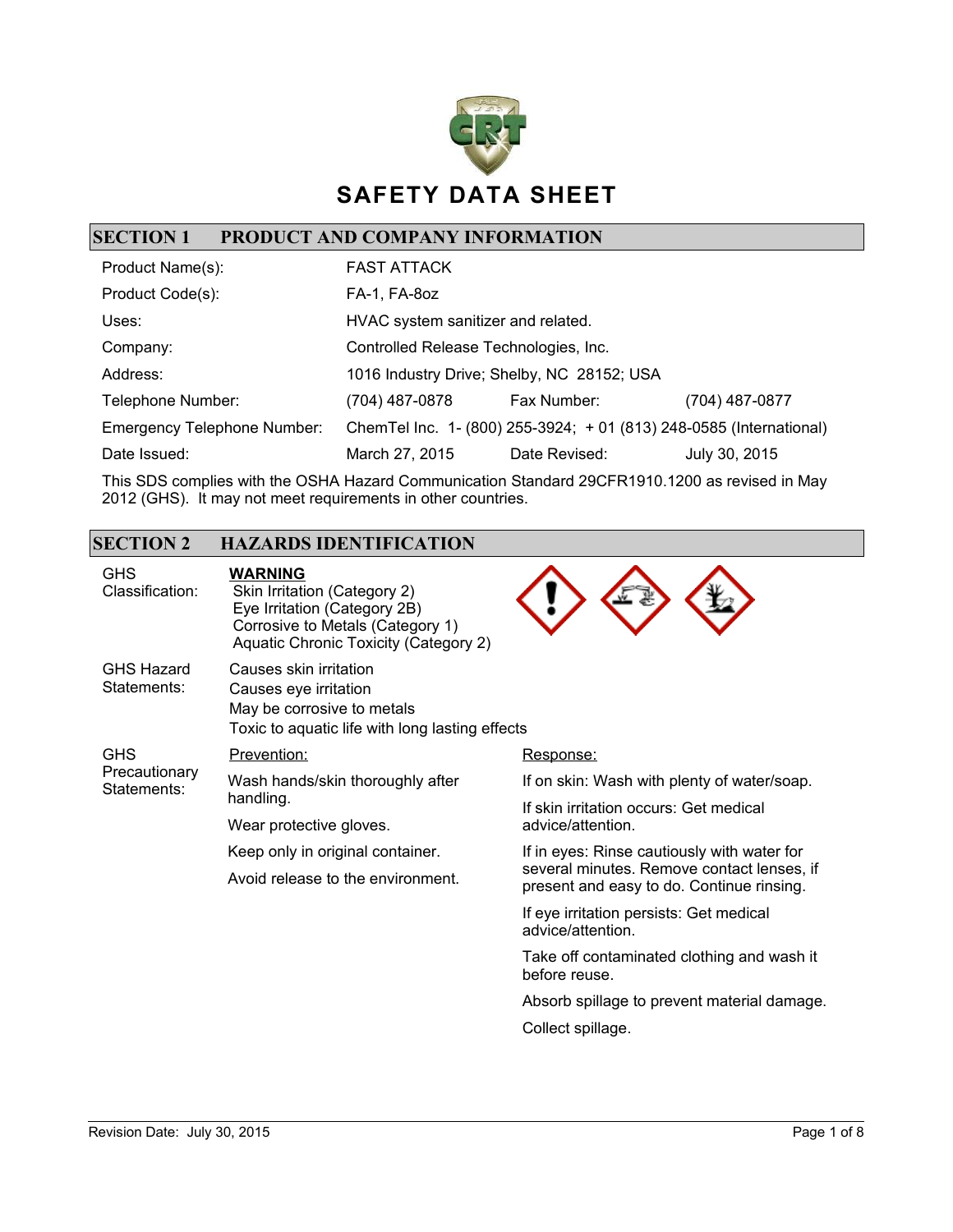

### **SECTION 1 PRODUCT AND COMPANY INFORMATION**

| Product Name(s):                   | <b>FAST ATTACK</b>                    |                                                                      |                |
|------------------------------------|---------------------------------------|----------------------------------------------------------------------|----------------|
| Product Code(s):                   | FA-1, FA-80z                          |                                                                      |                |
| Uses:                              | HVAC system sanitizer and related.    |                                                                      |                |
| Company:                           | Controlled Release Technologies, Inc. |                                                                      |                |
| Address:                           |                                       | 1016 Industry Drive; Shelby, NC 28152; USA                           |                |
| Telephone Number:                  | (704) 487-0878                        | Fax Number:                                                          | (704) 487-0877 |
| <b>Emergency Telephone Number:</b> |                                       | Chem Tel Inc. 1- (800) 255-3924; + 01 (813) 248-0585 (International) |                |
| Date Issued:                       | March 27, 2015                        | Date Revised:                                                        | July 30, 2015  |

This SDS complies with the OSHA Hazard Communication Standard 29CFR1910.1200 as revised in May 2012 (GHS). It may not meet requirements in other countries.

### **SECTION 2 HAZARDS IDENTIFICATION**

| <b>GHS</b><br>Classification:              | <b>WARNING</b><br>Skin Irritation (Category 2)<br>Eye Irritation (Category 2B)<br>Corrosive to Metals (Category 1)<br>Aquatic Chronic Toxicity (Category 2) |                                                                                         |  |
|--------------------------------------------|-------------------------------------------------------------------------------------------------------------------------------------------------------------|-----------------------------------------------------------------------------------------|--|
| <b>GHS Hazard</b><br>Statements:           | Causes skin irritation<br>Causes eye irritation<br>May be corrosive to metals<br>Toxic to aquatic life with long lasting effects                            |                                                                                         |  |
| <b>GHS</b><br>Precautionary<br>Statements: | Prevention:                                                                                                                                                 | Response:                                                                               |  |
|                                            | Wash hands/skin thoroughly after<br>handling.<br>Wear protective gloves.                                                                                    | If on skin: Wash with plenty of water/soap.                                             |  |
|                                            |                                                                                                                                                             | If skin irritation occurs: Get medical                                                  |  |
|                                            |                                                                                                                                                             | advice/attention.                                                                       |  |
|                                            | Keep only in original container.                                                                                                                            | If in eyes: Rinse cautiously with water for                                             |  |
|                                            | Avoid release to the environment.                                                                                                                           | several minutes. Remove contact lenses, if<br>present and easy to do. Continue rinsing. |  |
|                                            |                                                                                                                                                             | If eye irritation persists: Get medical<br>advice/attention.                            |  |
|                                            |                                                                                                                                                             | Take off contaminated clothing and wash it<br>before reuse.                             |  |
|                                            |                                                                                                                                                             | Absorb spillage to prevent material damage.                                             |  |
|                                            |                                                                                                                                                             | Collect spillage.                                                                       |  |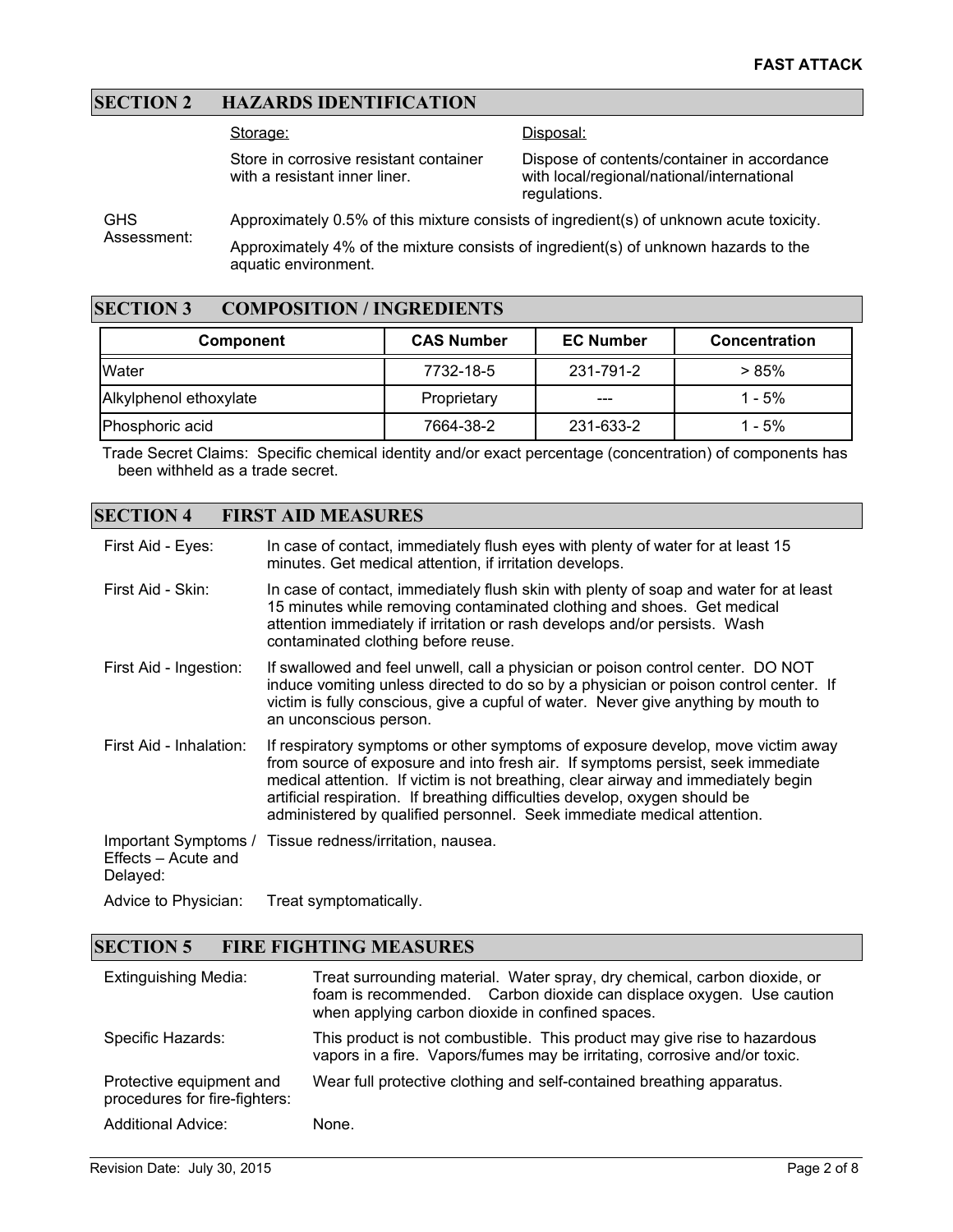### **SECTION 2 HAZARDS IDENTIFICATION**

Storage:

Disposal:

Store in corrosive resistant container with a resistant inner liner.

Dispose of contents/container in accordance with local/regional/national/international regulations.

**GHS** Assessment: Approximately 0.5% of this mixture consists of ingredient(s) of unknown acute toxicity. Approximately 4% of the mixture consists of ingredient(s) of unknown hazards to the

#### **SECTION 3 COMPOSITION / INGREDIENTS**

aquatic environment.

| Component              | <b>CAS Number</b> | <b>EC Number</b> | <b>Concentration</b> |
|------------------------|-------------------|------------------|----------------------|
| IWater                 | 7732-18-5         | 231-791-2        | > 85%                |
| Alkylphenol ethoxylate | Proprietary       | ---              | $1 - 5%$             |
| Phosphoric acid        | 7664-38-2         | 231-633-2        | $1 - 5%$             |

Trade Secret Claims: Specific chemical identity and/or exact percentage (concentration) of components has been withheld as a trade secret.

#### **SECTION 4 FIRST AID MEASURES**

| First Aid - Eyes:                                       | In case of contact, immediately flush eyes with plenty of water for at least 15<br>minutes. Get medical attention, if irritation develops.                                                                                                                                                                                                                                                                       |
|---------------------------------------------------------|------------------------------------------------------------------------------------------------------------------------------------------------------------------------------------------------------------------------------------------------------------------------------------------------------------------------------------------------------------------------------------------------------------------|
| First Aid - Skin:                                       | In case of contact, immediately flush skin with plenty of soap and water for at least<br>15 minutes while removing contaminated clothing and shoes. Get medical<br>attention immediately if irritation or rash develops and/or persists. Wash<br>contaminated clothing before reuse.                                                                                                                             |
| First Aid - Ingestion:                                  | If swallowed and feel unwell, call a physician or poison control center. DO NOT<br>induce vomiting unless directed to do so by a physician or poison control center. If<br>victim is fully conscious, give a cupful of water. Never give anything by mouth to<br>an unconscious person.                                                                                                                          |
| First Aid - Inhalation:                                 | If respiratory symptoms or other symptoms of exposure develop, move victim away<br>from source of exposure and into fresh air. If symptoms persist, seek immediate<br>medical attention. If victim is not breathing, clear airway and immediately begin<br>artificial respiration. If breathing difficulties develop, oxygen should be<br>administered by qualified personnel. Seek immediate medical attention. |
| Important Symptoms /<br>Effects – Acute and<br>Delayed: | Tissue redness/irritation, nausea.                                                                                                                                                                                                                                                                                                                                                                               |
| Advice to Physician:                                    | Treat symptomatically.                                                                                                                                                                                                                                                                                                                                                                                           |

#### **SECTION 5 FIRE FIGHTING MEASURES**

| <b>Extinguishing Media:</b>                               | Treat surrounding material. Water spray, dry chemical, carbon dioxide, or<br>foam is recommended. Carbon dioxide can displace oxygen. Use caution<br>when applying carbon dioxide in confined spaces. |
|-----------------------------------------------------------|-------------------------------------------------------------------------------------------------------------------------------------------------------------------------------------------------------|
| Specific Hazards:                                         | This product is not combustible. This product may give rise to hazardous<br>vapors in a fire. Vapors/fumes may be irritating, corrosive and/or toxic.                                                 |
| Protective equipment and<br>procedures for fire-fighters: | Wear full protective clothing and self-contained breathing apparatus.                                                                                                                                 |
| <b>Additional Advice:</b>                                 | None.                                                                                                                                                                                                 |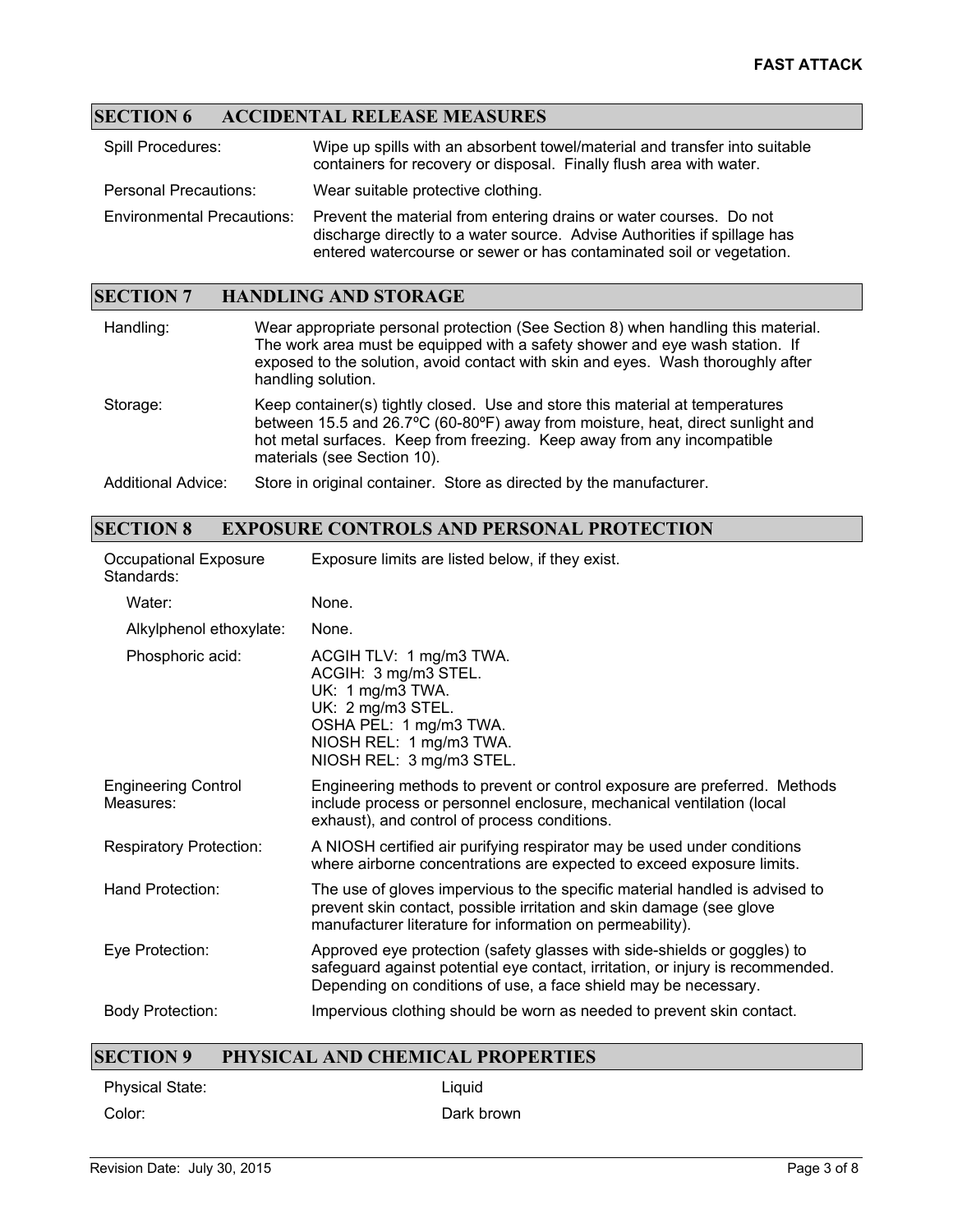# **SECTION 6 ACCIDENTAL RELEASE MEASURES**

| Spill Procedures:                 | Wipe up spills with an absorbent towel/material and transfer into suitable<br>containers for recovery or disposal. Finally flush area with water.                                                                      |
|-----------------------------------|------------------------------------------------------------------------------------------------------------------------------------------------------------------------------------------------------------------------|
| <b>Personal Precautions:</b>      | Wear suitable protective clothing.                                                                                                                                                                                     |
| <b>Environmental Precautions:</b> | Prevent the material from entering drains or water courses. Do not<br>discharge directly to a water source. Advise Authorities if spillage has<br>entered watercourse or sewer or has contaminated soil or vegetation. |

### **SECTION 7 HANDLING AND STORAGE**

| Handling:          | Wear appropriate personal protection (See Section 8) when handling this material.<br>The work area must be equipped with a safety shower and eye wash station. If<br>exposed to the solution, avoid contact with skin and eyes. Wash thoroughly after<br>handling solution. |
|--------------------|-----------------------------------------------------------------------------------------------------------------------------------------------------------------------------------------------------------------------------------------------------------------------------|
| Storage:           | Keep container(s) tightly closed. Use and store this material at temperatures<br>between 15.5 and 26.7°C (60-80°F) away from moisture, heat, direct sunlight and<br>hot metal surfaces. Keep from freezing. Keep away from any incompatible<br>materials (see Section 10).  |
| Additional Advice: | Store in original container. Store as directed by the manufacturer.                                                                                                                                                                                                         |

### **SECTION 8 EXPOSURE CONTROLS AND PERSONAL PROTECTION**

| Occupational Exposure<br>Standards:     | Exposure limits are listed below, if they exist.                                                                                                                                                                              |
|-----------------------------------------|-------------------------------------------------------------------------------------------------------------------------------------------------------------------------------------------------------------------------------|
| Water:                                  | None.                                                                                                                                                                                                                         |
| Alkylphenol ethoxylate:                 | None.                                                                                                                                                                                                                         |
| Phosphoric acid:                        | ACGIH TLV: 1 mg/m3 TWA.<br>ACGIH: 3 mg/m3 STEL.<br>UK: 1 mg/m3 TWA.<br>UK: 2 mg/m3 STEL.<br>OSHA PEL: 1 mg/m3 TWA.<br>NIOSH REL: 1 mg/m3 TWA.<br>NIOSH REL: 3 mg/m3 STEL.                                                     |
| <b>Engineering Control</b><br>Measures: | Engineering methods to prevent or control exposure are preferred. Methods<br>include process or personnel enclosure, mechanical ventilation (local<br>exhaust), and control of process conditions.                            |
| <b>Respiratory Protection:</b>          | A NIOSH certified air purifying respirator may be used under conditions<br>where airborne concentrations are expected to exceed exposure limits.                                                                              |
| Hand Protection:                        | The use of gloves impervious to the specific material handled is advised to<br>prevent skin contact, possible irritation and skin damage (see glove<br>manufacturer literature for information on permeability).              |
| Eye Protection:                         | Approved eye protection (safety glasses with side-shields or goggles) to<br>safeguard against potential eye contact, irritation, or injury is recommended.<br>Depending on conditions of use, a face shield may be necessary. |
| <b>Body Protection:</b>                 | Impervious clothing should be worn as needed to prevent skin contact.                                                                                                                                                         |

### **SECTION 9 PHYSICAL AND CHEMICAL PROPERTIES**

Physical State: Liquid Color: Dark brown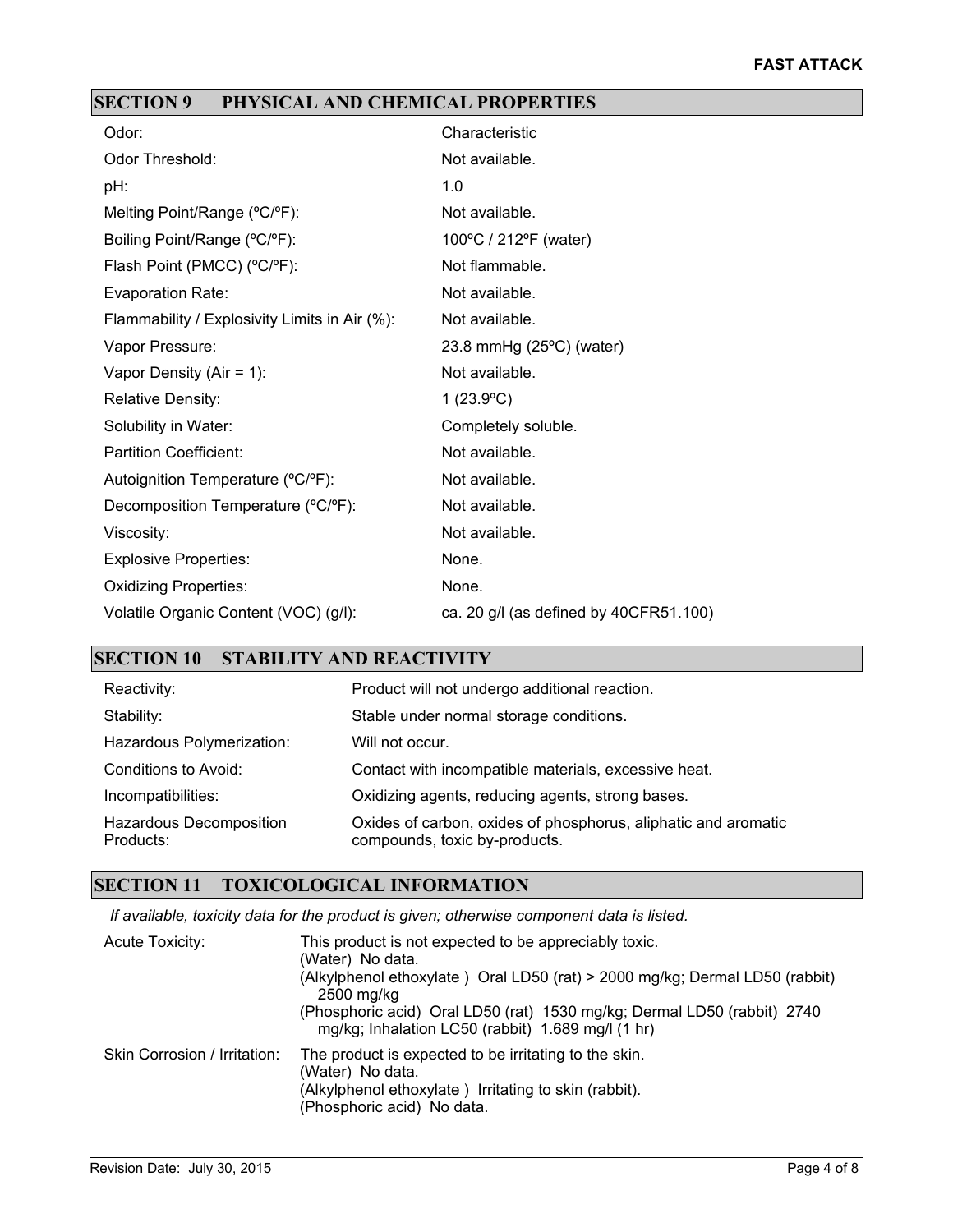# **SECTION 9 PHYSICAL AND CHEMICAL PROPERTIES**

| Odor:                                         | Characteristic                         |
|-----------------------------------------------|----------------------------------------|
| Odor Threshold:                               | Not available.                         |
| pH:                                           | 1.0                                    |
| Melting Point/Range (°C/°F):                  | Not available.                         |
| Boiling Point/Range (°C/°F):                  | 100°C / 212°F (water)                  |
| Flash Point (PMCC) (°C/°F):                   | Not flammable.                         |
| Evaporation Rate:                             | Not available.                         |
| Flammability / Explosivity Limits in Air (%): | Not available.                         |
| Vapor Pressure:                               | 23.8 mmHg $(25^{\circ}C)$ (water)      |
| Vapor Density (Air = $1$ ):                   | Not available.                         |
| <b>Relative Density:</b>                      | 1 $(23.9^{\circ}C)$                    |
| Solubility in Water:                          | Completely soluble.                    |
| <b>Partition Coefficient:</b>                 | Not available.                         |
| Autoignition Temperature (°C/°F):             | Not available.                         |
| Decomposition Temperature (°C/°F):            | Not available.                         |
| Viscosity:                                    | Not available.                         |
| <b>Explosive Properties:</b>                  | None.                                  |
| <b>Oxidizing Properties:</b>                  | None.                                  |
| Volatile Organic Content (VOC) (g/l):         | ca. 20 g/l (as defined by 40CFR51.100) |

# **SECTION 10 STABILITY AND REACTIVITY**

| Reactivity:                          | Product will not undergo additional reaction.                                                   |
|--------------------------------------|-------------------------------------------------------------------------------------------------|
| Stability:                           | Stable under normal storage conditions.                                                         |
| Hazardous Polymerization:            | Will not occur.                                                                                 |
| Conditions to Avoid:                 | Contact with incompatible materials, excessive heat.                                            |
| Incompatibilities:                   | Oxidizing agents, reducing agents, strong bases.                                                |
| Hazardous Decomposition<br>Products: | Oxides of carbon, oxides of phosphorus, aliphatic and aromatic<br>compounds, toxic by-products. |

#### **SECTION 11 TOXICOLOGICAL INFORMATION**

*If available, toxicity data for the product is given; otherwise component data is listed.*

| Acute Toxicity:              | This product is not expected to be appreciably toxic.<br>(Water) No data.<br>(Alkylphenol ethoxylate) Oral LD50 (rat) > 2000 mg/kg; Dermal LD50 (rabbit)<br>2500 mg/kg<br>(Phosphoric acid) Oral LD50 (rat) 1530 mg/kg; Dermal LD50 (rabbit) 2740<br>mg/kg; Inhalation LC50 (rabbit) 1.689 mg/l (1 hr) |
|------------------------------|--------------------------------------------------------------------------------------------------------------------------------------------------------------------------------------------------------------------------------------------------------------------------------------------------------|
| Skin Corrosion / Irritation: | The product is expected to be irritating to the skin.<br>(Water) No data.<br>(Alkylphenol ethoxylate) Irritating to skin (rabbit).<br>(Phosphoric acid) No data.                                                                                                                                       |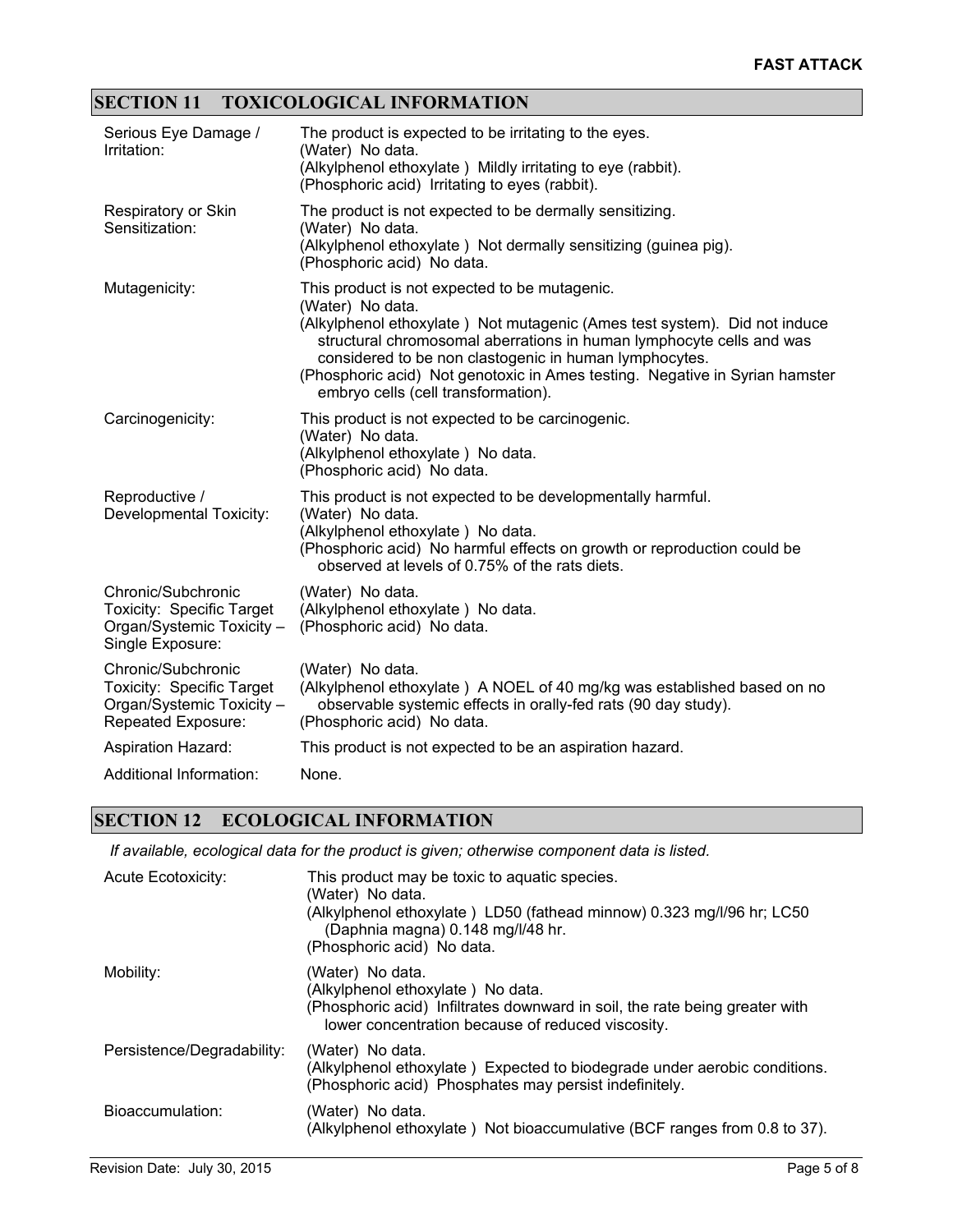# **SECTION 11 TOXICOLOGICAL INFORMATION**

| Serious Eye Damage /<br>Irritation:                                                                       | The product is expected to be irritating to the eyes.<br>(Water) No data.<br>(Alkylphenol ethoxylate) Mildly irritating to eye (rabbit).<br>(Phosphoric acid) Irritating to eyes (rabbit).                                                                                                                                                                                                             |
|-----------------------------------------------------------------------------------------------------------|--------------------------------------------------------------------------------------------------------------------------------------------------------------------------------------------------------------------------------------------------------------------------------------------------------------------------------------------------------------------------------------------------------|
| Respiratory or Skin<br>Sensitization:                                                                     | The product is not expected to be dermally sensitizing.<br>(Water) No data.<br>(Alkylphenol ethoxylate) Not dermally sensitizing (guinea pig).<br>(Phosphoric acid) No data.                                                                                                                                                                                                                           |
| Mutagenicity:                                                                                             | This product is not expected to be mutagenic.<br>(Water) No data.<br>(Alkylphenol ethoxylate) Not mutagenic (Ames test system). Did not induce<br>structural chromosomal aberrations in human lymphocyte cells and was<br>considered to be non clastogenic in human lymphocytes.<br>(Phosphoric acid) Not genotoxic in Ames testing. Negative in Syrian hamster<br>embryo cells (cell transformation). |
| Carcinogenicity:                                                                                          | This product is not expected to be carcinogenic.<br>(Water) No data.<br>(Alkylphenol ethoxylate) No data.<br>(Phosphoric acid) No data.                                                                                                                                                                                                                                                                |
| Reproductive /<br>Developmental Toxicity:                                                                 | This product is not expected to be developmentally harmful.<br>(Water) No data.<br>(Alkylphenol ethoxylate) No data.<br>(Phosphoric acid) No harmful effects on growth or reproduction could be<br>observed at levels of 0.75% of the rats diets.                                                                                                                                                      |
| Chronic/Subchronic<br>Toxicity: Specific Target<br>Organ/Systemic Toxicity -<br>Single Exposure:          | (Water) No data.<br>(Alkylphenol ethoxylate) No data.<br>(Phosphoric acid) No data.                                                                                                                                                                                                                                                                                                                    |
| Chronic/Subchronic<br><b>Toxicity: Specific Target</b><br>Organ/Systemic Toxicity -<br>Repeated Exposure: | (Water) No data.<br>(Alkylphenol ethoxylate) A NOEL of 40 mg/kg was established based on no<br>observable systemic effects in orally-fed rats (90 day study).<br>(Phosphoric acid) No data.                                                                                                                                                                                                            |
| <b>Aspiration Hazard:</b>                                                                                 | This product is not expected to be an aspiration hazard.                                                                                                                                                                                                                                                                                                                                               |
| Additional Information:                                                                                   | None.                                                                                                                                                                                                                                                                                                                                                                                                  |

### **SECTION 12 ECOLOGICAL INFORMATION**

*If available, ecological data for the product is given; otherwise component data is listed.*

| <b>Acute Ecotoxicity:</b>  | This product may be toxic to aquatic species.<br>(Water) No data.<br>(Alkylphenol ethoxylate) LD50 (fathead minnow) 0.323 mg/l/96 hr; LC50<br>(Daphnia magna) 0.148 mg/l/48 hr.<br>(Phosphoric acid) No data. |
|----------------------------|---------------------------------------------------------------------------------------------------------------------------------------------------------------------------------------------------------------|
| Mobility:                  | (Water) No data.<br>(Alkylphenol ethoxylate) No data.<br>(Phosphoric acid) Infiltrates downward in soil, the rate being greater with<br>lower concentration because of reduced viscosity.                     |
| Persistence/Degradability: | (Water) No data.<br>(Alkylphenol ethoxylate) Expected to biodegrade under aerobic conditions.<br>(Phosphoric acid) Phosphates may persist indefinitely.                                                       |
| Bioaccumulation:           | (Water) No data.<br>(Alkylphenol ethoxylate) Not bioaccumulative (BCF ranges from 0.8 to 37).                                                                                                                 |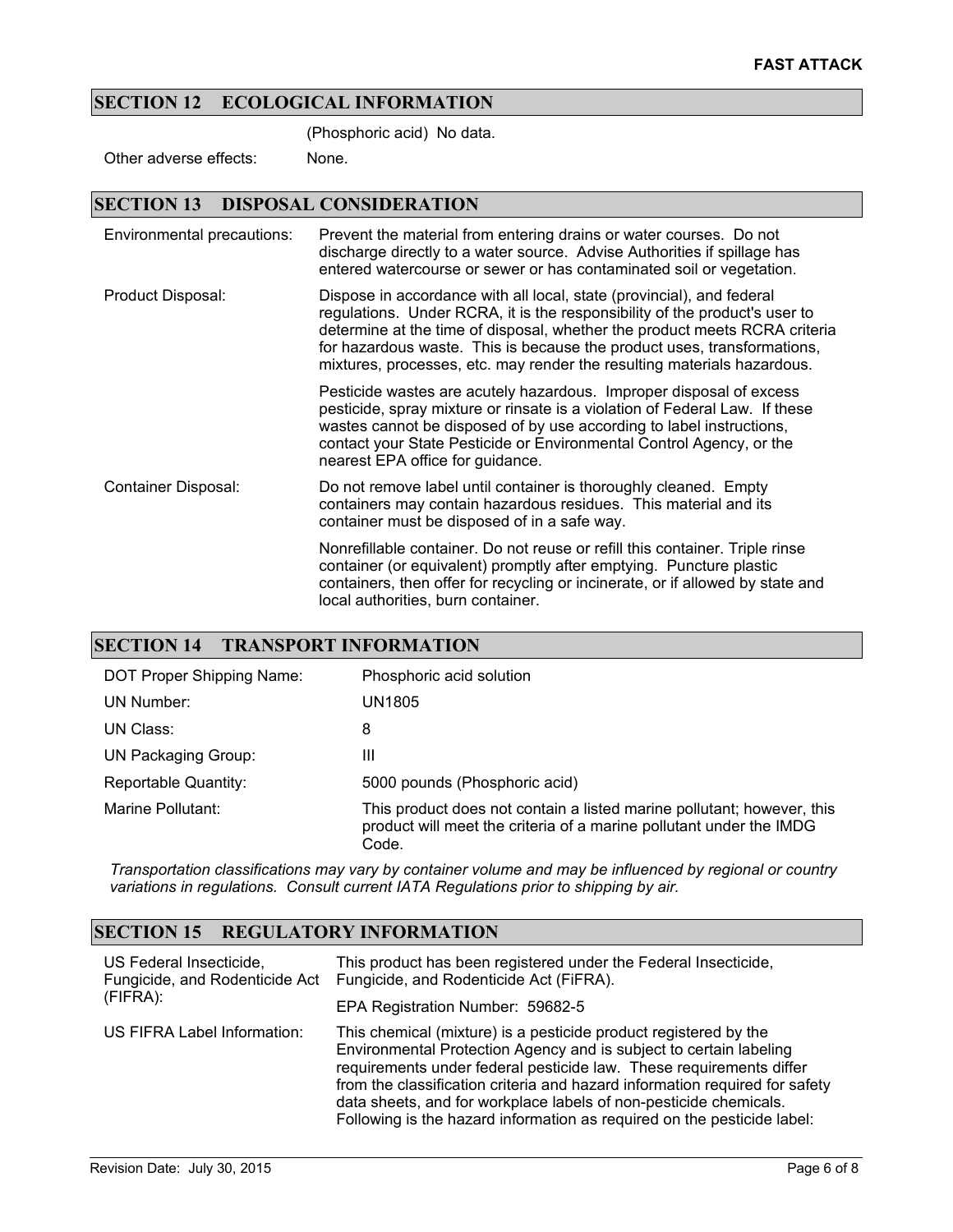### **SECTION 12 ECOLOGICAL INFORMATION**

(Phosphoric acid) No data.

Other adverse effects: None.

#### **SECTION 13 DISPOSAL CONSIDERATION**

| Environmental precautions: | Prevent the material from entering drains or water courses. Do not<br>discharge directly to a water source. Advise Authorities if spillage has<br>entered watercourse or sewer or has contaminated soil or vegetation.                                                                                                                                                                  |
|----------------------------|-----------------------------------------------------------------------------------------------------------------------------------------------------------------------------------------------------------------------------------------------------------------------------------------------------------------------------------------------------------------------------------------|
| Product Disposal:          | Dispose in accordance with all local, state (provincial), and federal<br>regulations. Under RCRA, it is the responsibility of the product's user to<br>determine at the time of disposal, whether the product meets RCRA criteria<br>for hazardous waste. This is because the product uses, transformations,<br>mixtures, processes, etc. may render the resulting materials hazardous. |
|                            | Pesticide wastes are acutely hazardous. Improper disposal of excess<br>pesticide, spray mixture or rinsate is a violation of Federal Law. If these<br>wastes cannot be disposed of by use according to label instructions,<br>contact your State Pesticide or Environmental Control Agency, or the<br>nearest EPA office for guidance.                                                  |
| Container Disposal:        | Do not remove label until container is thoroughly cleaned. Empty<br>containers may contain hazardous residues. This material and its<br>container must be disposed of in a safe way.                                                                                                                                                                                                    |
|                            | Nonrefillable container. Do not reuse or refill this container. Triple rinse<br>container (or equivalent) promptly after emptying. Puncture plastic<br>containers, then offer for recycling or incinerate, or if allowed by state and<br>local authorities, burn container.                                                                                                             |

#### **SECTION 14 TRANSPORT INFORMATION**

| DOT Proper Shipping Name: | Phosphoric acid solution                                                                                                                               |
|---------------------------|--------------------------------------------------------------------------------------------------------------------------------------------------------|
| UN Number:                | UN1805                                                                                                                                                 |
| UN Class:                 | 8                                                                                                                                                      |
| UN Packaging Group:       | Ш                                                                                                                                                      |
| Reportable Quantity:      | 5000 pounds (Phosphoric acid)                                                                                                                          |
| Marine Pollutant:         | This product does not contain a listed marine pollutant; however, this<br>product will meet the criteria of a marine pollutant under the IMDG<br>Code. |

*Transportation classifications may vary by container volume and may be influenced by regional or country variations in regulations. Consult current IATA Regulations prior to shipping by air.*

### **SECTION 15 REGULATORY INFORMATION**

| US Federal Insecticide,<br>(FIFRA): | This product has been registered under the Federal Insecticide,<br>Fungicide, and Rodenticide Act Fungicide, and Rodenticide Act (FIFRA).                                                                                                                                                                                                                                                                                                    |
|-------------------------------------|----------------------------------------------------------------------------------------------------------------------------------------------------------------------------------------------------------------------------------------------------------------------------------------------------------------------------------------------------------------------------------------------------------------------------------------------|
|                                     | EPA Registration Number: 59682-5                                                                                                                                                                                                                                                                                                                                                                                                             |
| US FIFRA Label Information:         | This chemical (mixture) is a pesticide product registered by the<br>Environmental Protection Agency and is subject to certain labeling<br>requirements under federal pesticide law. These requirements differ<br>from the classification criteria and hazard information required for safety<br>data sheets, and for workplace labels of non-pesticide chemicals.<br>Following is the hazard information as required on the pesticide label: |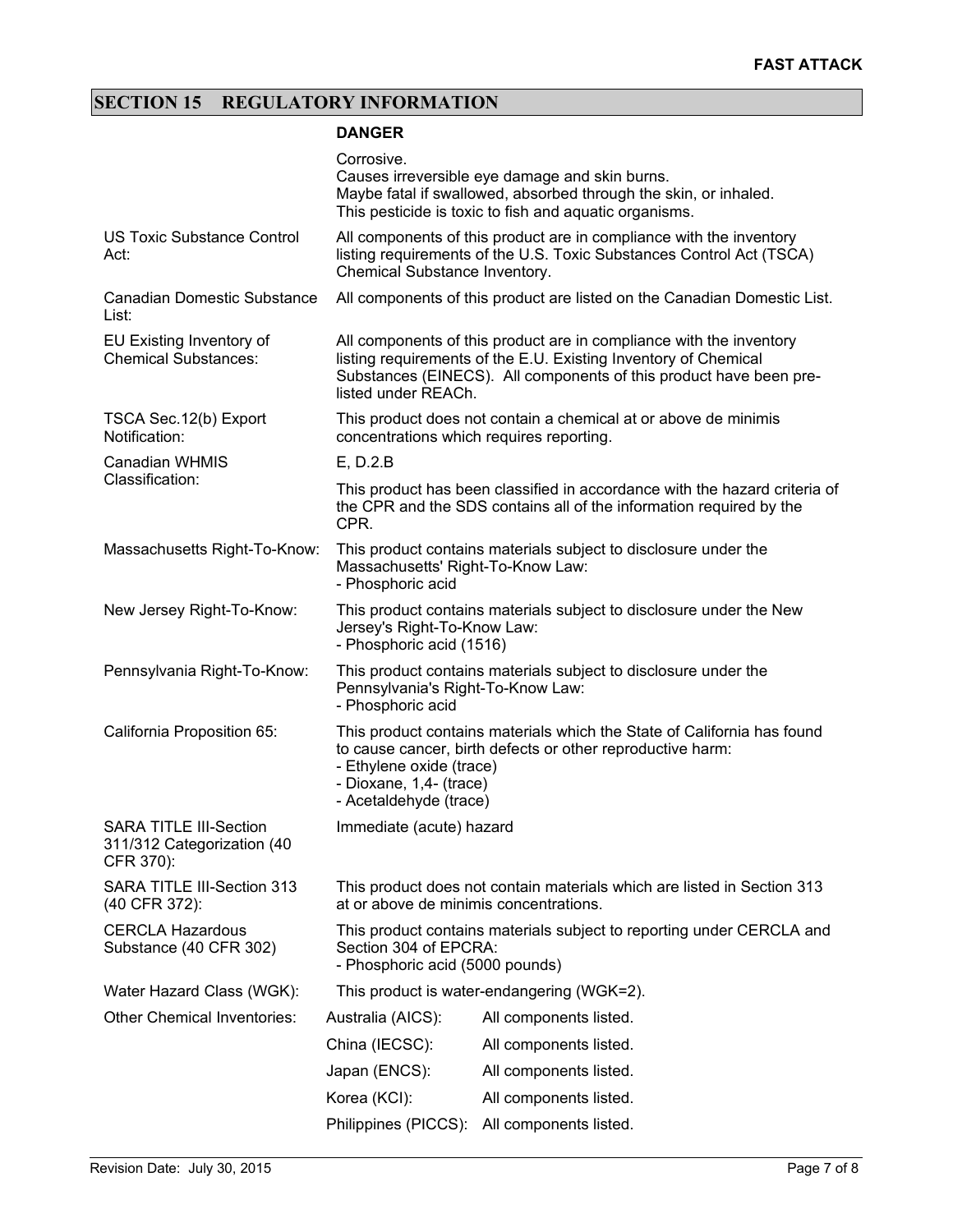# **SECTION 15 REGULATORY INFORMATION**

### **DANGER**

|                                                                          | Corrosive.                                                                                                                                                                                                                          | Causes irreversible eye damage and skin burns.<br>Maybe fatal if swallowed, absorbed through the skin, or inhaled.<br>This pesticide is toxic to fish and aquatic organisms. |  |
|--------------------------------------------------------------------------|-------------------------------------------------------------------------------------------------------------------------------------------------------------------------------------------------------------------------------------|------------------------------------------------------------------------------------------------------------------------------------------------------------------------------|--|
| <b>US Toxic Substance Control</b><br>Act:                                | All components of this product are in compliance with the inventory<br>listing requirements of the U.S. Toxic Substances Control Act (TSCA)<br>Chemical Substance Inventory.                                                        |                                                                                                                                                                              |  |
| <b>Canadian Domestic Substance</b><br>List:                              | All components of this product are listed on the Canadian Domestic List.                                                                                                                                                            |                                                                                                                                                                              |  |
| EU Existing Inventory of<br><b>Chemical Substances:</b>                  | All components of this product are in compliance with the inventory<br>listing requirements of the E.U. Existing Inventory of Chemical<br>Substances (EINECS). All components of this product have been pre-<br>listed under REACh. |                                                                                                                                                                              |  |
| TSCA Sec. 12(b) Export<br>Notification:                                  | This product does not contain a chemical at or above de minimis<br>concentrations which requires reporting.                                                                                                                         |                                                                                                                                                                              |  |
| Canadian WHMIS                                                           | $E$ , D.2. $B$                                                                                                                                                                                                                      |                                                                                                                                                                              |  |
| Classification:                                                          | This product has been classified in accordance with the hazard criteria of<br>the CPR and the SDS contains all of the information required by the<br>CPR.                                                                           |                                                                                                                                                                              |  |
| Massachusetts Right-To-Know:                                             | This product contains materials subject to disclosure under the<br>Massachusetts' Right-To-Know Law:<br>- Phosphoric acid                                                                                                           |                                                                                                                                                                              |  |
| New Jersey Right-To-Know:                                                | This product contains materials subject to disclosure under the New<br>Jersey's Right-To-Know Law:<br>- Phosphoric acid (1516)                                                                                                      |                                                                                                                                                                              |  |
| Pennsylvania Right-To-Know:                                              | This product contains materials subject to disclosure under the<br>Pennsylvania's Right-To-Know Law:<br>- Phosphoric acid                                                                                                           |                                                                                                                                                                              |  |
| California Proposition 65:                                               | This product contains materials which the State of California has found<br>to cause cancer, birth defects or other reproductive harm:<br>- Ethylene oxide (trace)<br>- Dioxane, 1,4- (trace)<br>- Acetaldehyde (trace)              |                                                                                                                                                                              |  |
| <b>SARA TITLE III-Section</b><br>311/312 Categorization (40<br>CFR 370): | Immediate (acute) hazard                                                                                                                                                                                                            |                                                                                                                                                                              |  |
| SARA TITLE III-Section 313<br>(40 CFR 372):                              | This product does not contain materials which are listed in Section 313<br>at or above de minimis concentrations.                                                                                                                   |                                                                                                                                                                              |  |
| <b>CERCLA Hazardous</b><br>Substance (40 CFR 302)                        | This product contains materials subject to reporting under CERCLA and<br>Section 304 of EPCRA:<br>- Phosphoric acid (5000 pounds)                                                                                                   |                                                                                                                                                                              |  |
| Water Hazard Class (WGK):                                                | This product is water-endangering (WGK=2).                                                                                                                                                                                          |                                                                                                                                                                              |  |
| <b>Other Chemical Inventories:</b>                                       | Australia (AICS):                                                                                                                                                                                                                   | All components listed.                                                                                                                                                       |  |
|                                                                          | China (IECSC):                                                                                                                                                                                                                      | All components listed.                                                                                                                                                       |  |
|                                                                          | Japan (ENCS):                                                                                                                                                                                                                       | All components listed.                                                                                                                                                       |  |
|                                                                          | Korea (KCI):                                                                                                                                                                                                                        | All components listed.                                                                                                                                                       |  |
|                                                                          | Philippines (PICCS):                                                                                                                                                                                                                | All components listed.                                                                                                                                                       |  |